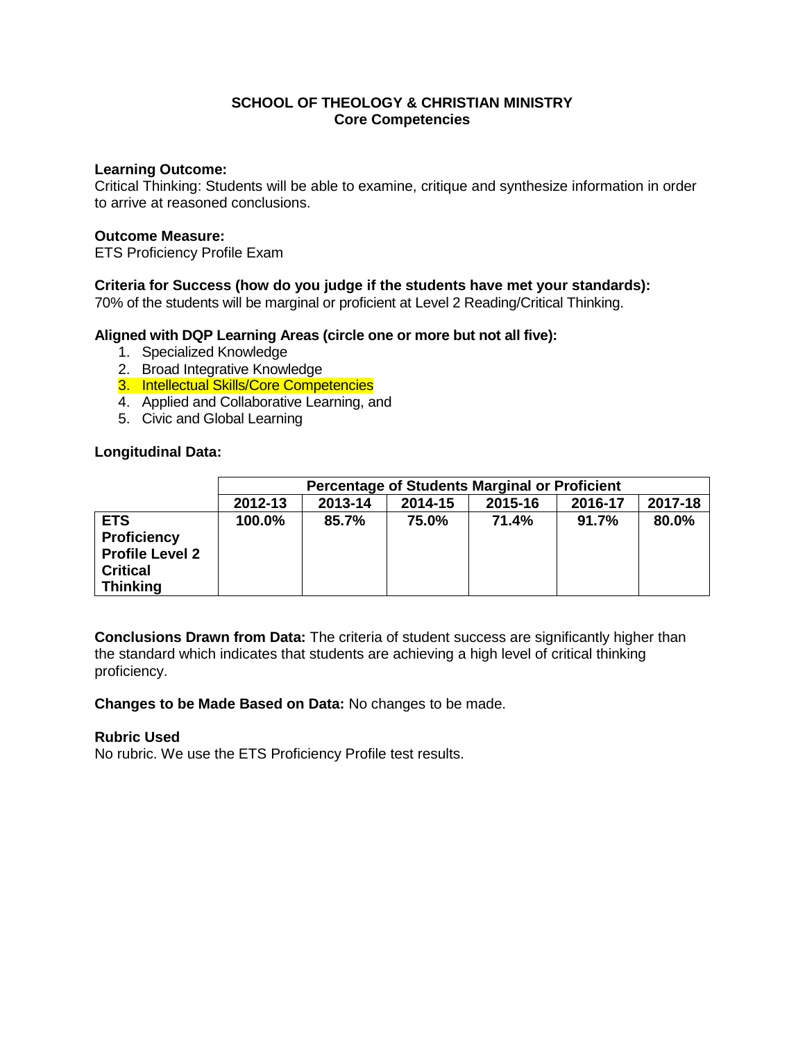## **SCHOOL OF THEOLOGY & CHRISTIAN MINISTRY Core Competencies**

#### **Learning Outcome:**

Critical Thinking: Students will be able to examine, critique and synthesize information in order to arrive at reasoned conclusions.

#### **Outcome Measure:**

ETS Proficiency Profile Exam

### **Criteria for Success (how do you judge if the students have met your standards):**

70% of the students will be marginal or proficient at Level 2 Reading/Critical Thinking.

#### **Aligned with DQP Learning Areas (circle one or more but not all five):**

- 1. Specialized Knowledge
- 2. Broad Integrative Knowledge
- 3. Intellectual Skills/Core Competencies
- 4. Applied and Collaborative Learning, and
- 5. Civic and Global Learning

#### **Longitudinal Data:**

|                                                                                                  | <b>Percentage of Students Marginal or Proficient</b> |         |         |         |         |         |  |
|--------------------------------------------------------------------------------------------------|------------------------------------------------------|---------|---------|---------|---------|---------|--|
|                                                                                                  | 2012-13                                              | 2013-14 | 2014-15 | 2015-16 | 2016-17 | 2017-18 |  |
| <b>ETS</b><br><b>Proficiency</b><br><b>Profile Level 2</b><br><b>Critical</b><br><b>Thinking</b> | 100.0%                                               | 85.7%   | 75.0%   | 71.4%   | 91.7%   | 80.0%   |  |

**Conclusions Drawn from Data:** The criteria of student success are significantly higher than the standard which indicates that students are achieving a high level of critical thinking proficiency.

**Changes to be Made Based on Data:** No changes to be made.

#### **Rubric Used**

No rubric. We use the ETS Proficiency Profile test results.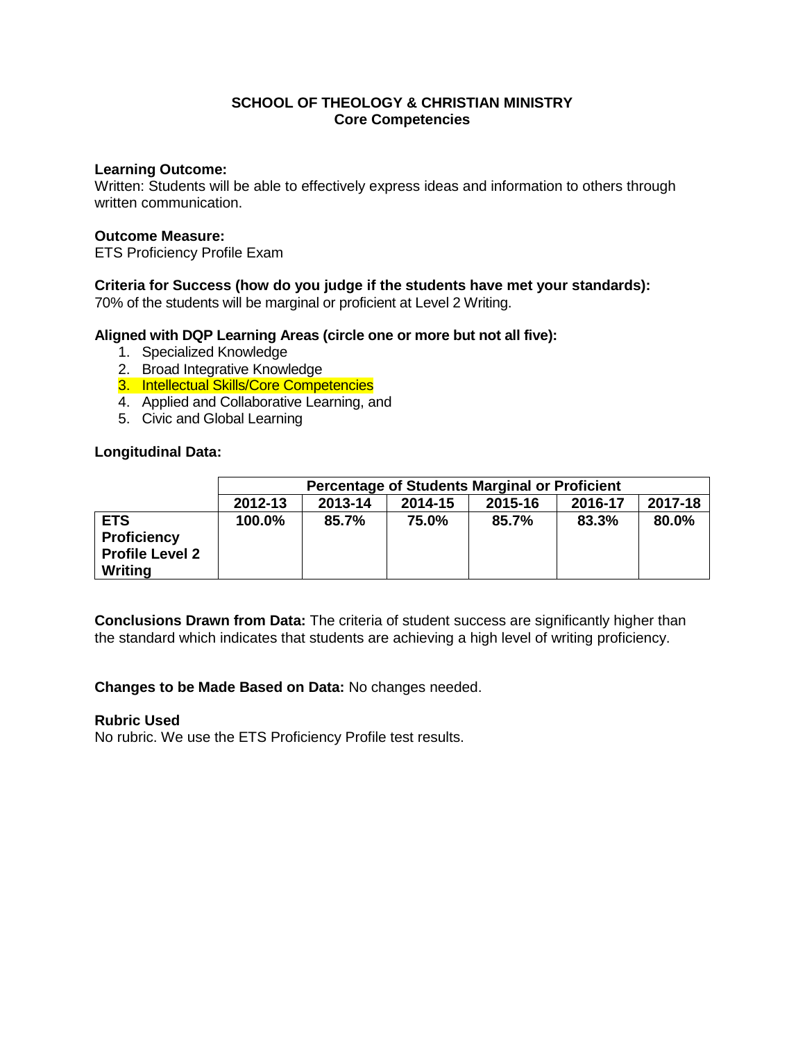## **SCHOOL OF THEOLOGY & CHRISTIAN MINISTRY Core Competencies**

#### **Learning Outcome:**

Written: Students will be able to effectively express ideas and information to others through written communication.

#### **Outcome Measure:**

ETS Proficiency Profile Exam

### **Criteria for Success (how do you judge if the students have met your standards):**

70% of the students will be marginal or proficient at Level 2 Writing.

#### **Aligned with DQP Learning Areas (circle one or more but not all five):**

- 1. Specialized Knowledge
- 2. Broad Integrative Knowledge
- 3. Intellectual Skills/Core Competencies
- 4. Applied and Collaborative Learning, and
- 5. Civic and Global Learning

#### **Longitudinal Data:**

|                                                                       | <b>Percentage of Students Marginal or Proficient</b>           |       |       |       |       |       |  |  |
|-----------------------------------------------------------------------|----------------------------------------------------------------|-------|-------|-------|-------|-------|--|--|
|                                                                       | 2017-18<br>2013-14<br>2012-13<br>2015-16<br>2016-17<br>2014-15 |       |       |       |       |       |  |  |
| <b>ETS</b><br><b>Proficiency</b><br><b>Profile Level 2</b><br>Writing | 100.0%                                                         | 85.7% | 75.0% | 85.7% | 83.3% | 80.0% |  |  |

**Conclusions Drawn from Data:** The criteria of student success are significantly higher than the standard which indicates that students are achieving a high level of writing proficiency.

**Changes to be Made Based on Data:** No changes needed.

#### **Rubric Used**

No rubric. We use the ETS Proficiency Profile test results.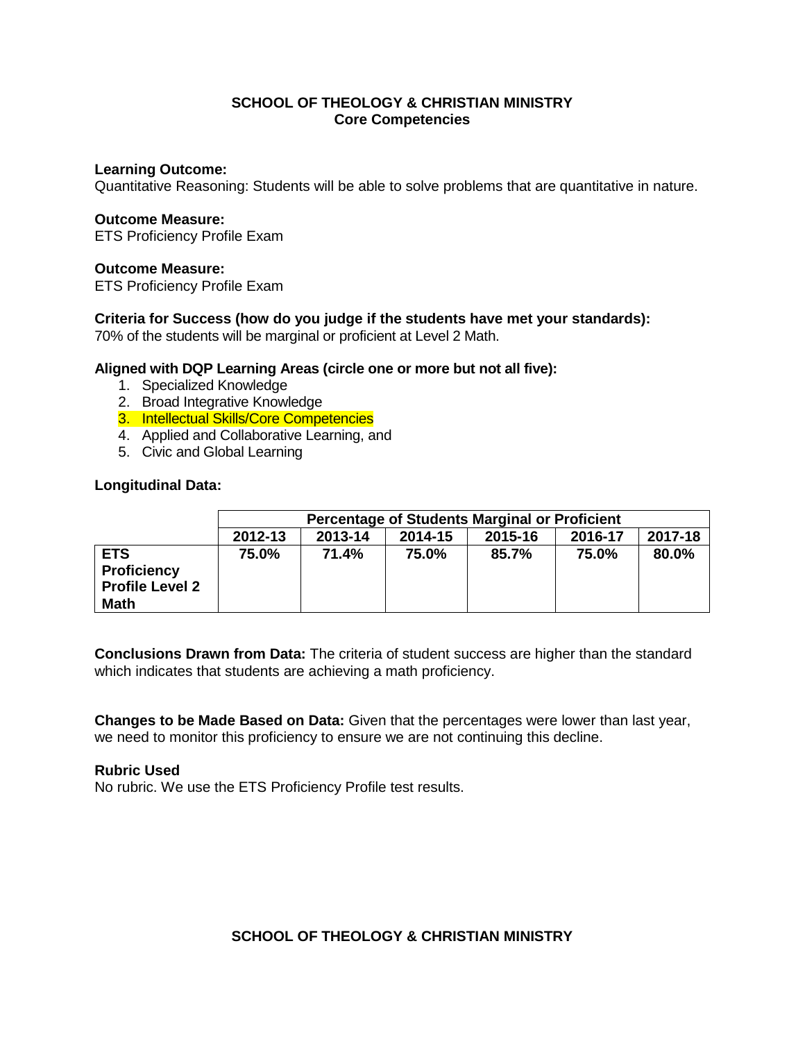# **SCHOOL OF THEOLOGY & CHRISTIAN MINISTRY Core Competencies**

#### **Learning Outcome:**

Quantitative Reasoning: Students will be able to solve problems that are quantitative in nature.

#### **Outcome Measure:**

ETS Proficiency Profile Exam

#### **Outcome Measure:**

ETS Proficiency Profile Exam

#### **Criteria for Success (how do you judge if the students have met your standards):**

70% of the students will be marginal or proficient at Level 2 Math.

#### **Aligned with DQP Learning Areas (circle one or more but not all five):**

- 1. Specialized Knowledge
- 2. Broad Integrative Knowledge
- 3. Intellectual Skills/Core Competencies
- 4. Applied and Collaborative Learning, and
- 5. Civic and Global Learning

#### **Longitudinal Data:**

|                                                                           | <b>Percentage of Students Marginal or Proficient</b>           |       |       |       |       |       |  |  |
|---------------------------------------------------------------------------|----------------------------------------------------------------|-------|-------|-------|-------|-------|--|--|
|                                                                           | 2017-18<br>2012-13<br>2013-14<br>2015-16<br>2016-17<br>2014-15 |       |       |       |       |       |  |  |
| <b>ETS</b><br><b>Proficiency</b><br><b>Profile Level 2</b><br><b>Math</b> | 75.0%                                                          | 71.4% | 75.0% | 85.7% | 75.0% | 80.0% |  |  |

**Conclusions Drawn from Data:** The criteria of student success are higher than the standard which indicates that students are achieving a math proficiency.

**Changes to be Made Based on Data:** Given that the percentages were lower than last year, we need to monitor this proficiency to ensure we are not continuing this decline.

#### **Rubric Used**

No rubric. We use the ETS Proficiency Profile test results.

# **SCHOOL OF THEOLOGY & CHRISTIAN MINISTRY**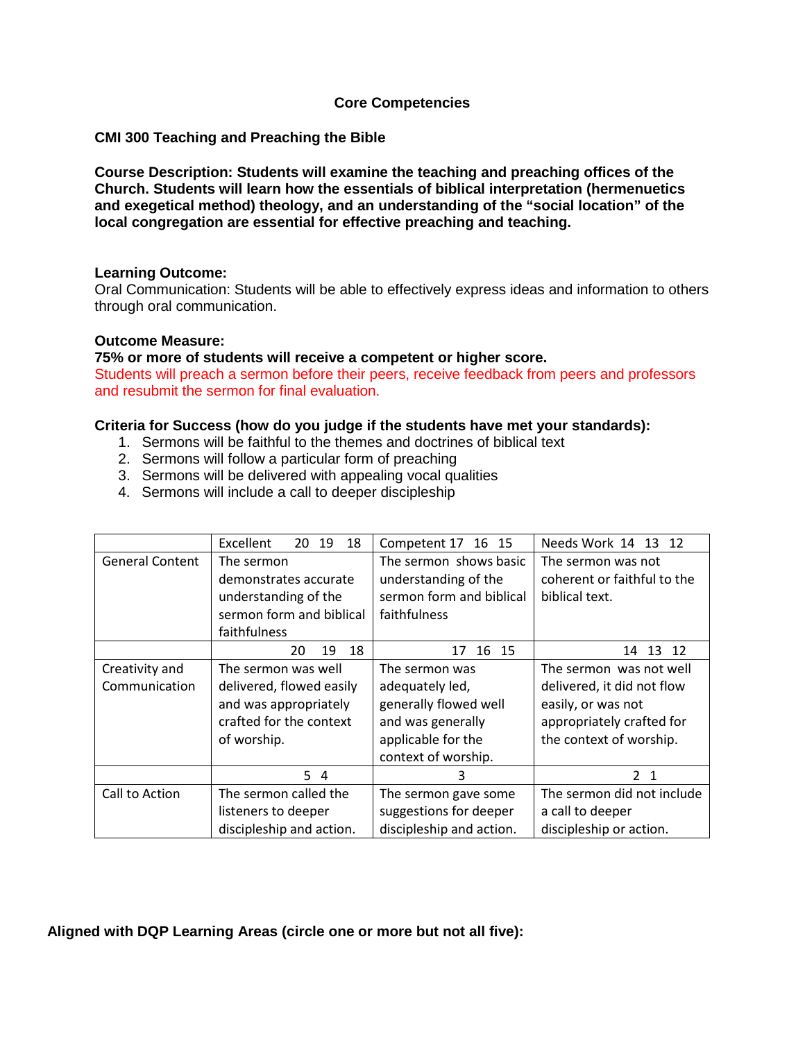## **Core Competencies**

### **CMI 300 Teaching and Preaching the Bible**

**Course Description: Students will examine the teaching and preaching offices of the Church. Students will learn how the essentials of biblical interpretation (hermenuetics and exegetical method) theology, and an understanding of the "social location" of the local congregation are essential for effective preaching and teaching.** 

#### **Learning Outcome:**

Oral Communication: Students will be able to effectively express ideas and information to others through oral communication.

#### **Outcome Measure:**

**75% or more of students will receive a competent or higher score.** 

Students will preach a sermon before their peers, receive feedback from peers and professors and resubmit the sermon for final evaluation.

### **Criteria for Success (how do you judge if the students have met your standards):**

- 1. Sermons will be faithful to the themes and doctrines of biblical text
- 2. Sermons will follow a particular form of preaching
- 3. Sermons will be delivered with appealing vocal qualities
- 4. Sermons will include a call to deeper discipleship

|                        | Excellent<br>20<br>19<br>18 | Competent 17 16 15       | Needs Work 14<br>13 12                            |  |
|------------------------|-----------------------------|--------------------------|---------------------------------------------------|--|
| <b>General Content</b> | The sermon                  | The sermon shows basic   | The sermon was not<br>coherent or faithful to the |  |
|                        | demonstrates accurate       | understanding of the     |                                                   |  |
|                        | understanding of the        | sermon form and biblical | biblical text.                                    |  |
|                        | sermon form and biblical    | faithfulness             |                                                   |  |
|                        | faithfulness                |                          |                                                   |  |
|                        | 18<br>20<br>19              | 16 15<br>17              | 13<br>12<br>14                                    |  |
| Creativity and         | The sermon was well         | The sermon was           | The sermon was not well                           |  |
| Communication          | delivered, flowed easily    | adequately led,          | delivered, it did not flow                        |  |
|                        | and was appropriately       | generally flowed well    | easily, or was not                                |  |
|                        | crafted for the context     | and was generally        | appropriately crafted for                         |  |
|                        | of worship.                 | applicable for the       | the context of worship.                           |  |
|                        |                             | context of worship.      |                                                   |  |
|                        | 54                          | 3                        | 2 <sub>1</sub>                                    |  |
| Call to Action         | The sermon called the       | The sermon gave some     | The sermon did not include                        |  |
|                        | listeners to deeper         | suggestions for deeper   | a call to deeper                                  |  |
|                        | discipleship and action.    | discipleship and action. | discipleship or action.                           |  |

# **Aligned with DQP Learning Areas (circle one or more but not all five):**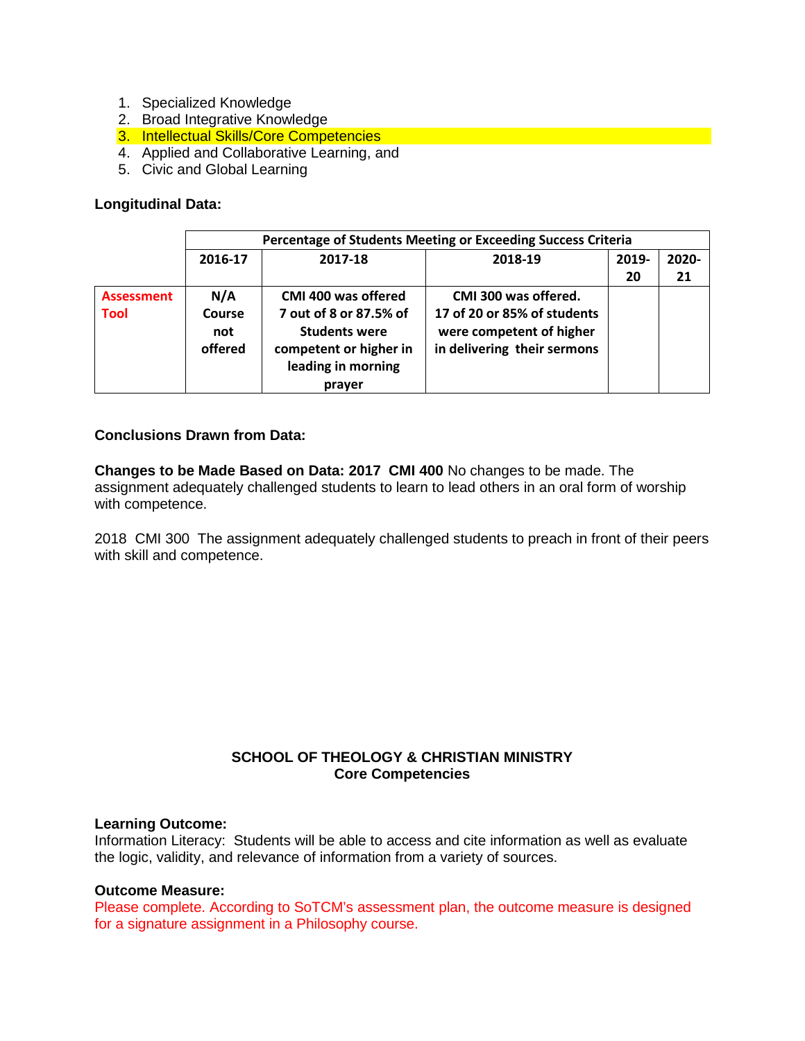- 1. Specialized Knowledge
- 2. Broad Integrative Knowledge
- 3. Intellectual Skills/Core Competencies
- 4. Applied and Collaborative Learning, and
- 5. Civic and Global Learning

### **Longitudinal Data:**

|                   | Percentage of Students Meeting or Exceeding Success Criteria |                                                                                                          |                                                                                        |       |          |  |  |
|-------------------|--------------------------------------------------------------|----------------------------------------------------------------------------------------------------------|----------------------------------------------------------------------------------------|-------|----------|--|--|
|                   | 2016-17                                                      | 2017-18<br>2018-19                                                                                       |                                                                                        | 2019- | $2020 -$ |  |  |
|                   |                                                              |                                                                                                          |                                                                                        | 20    | 21       |  |  |
| <b>Assessment</b> | N/A                                                          | CMI 400 was offered                                                                                      | CMI 300 was offered.                                                                   |       |          |  |  |
| <b>Tool</b>       | Course<br>not<br>offered                                     | 7 out of 8 or 87.5% of<br><b>Students were</b><br>competent or higher in<br>leading in morning<br>prayer | 17 of 20 or 85% of students<br>were competent of higher<br>in delivering their sermons |       |          |  |  |

## **Conclusions Drawn from Data:**

**Changes to be Made Based on Data: 2017 CMI 400** No changes to be made. The assignment adequately challenged students to learn to lead others in an oral form of worship with competence.

2018 CMI 300 The assignment adequately challenged students to preach in front of their peers with skill and competence.

# **SCHOOL OF THEOLOGY & CHRISTIAN MINISTRY Core Competencies**

#### **Learning Outcome:**

Information Literacy: Students will be able to access and cite information as well as evaluate the logic, validity, and relevance of information from a variety of sources.

## **Outcome Measure:**

Please complete. According to SoTCM's assessment plan, the outcome measure is designed for a signature assignment in a Philosophy course.